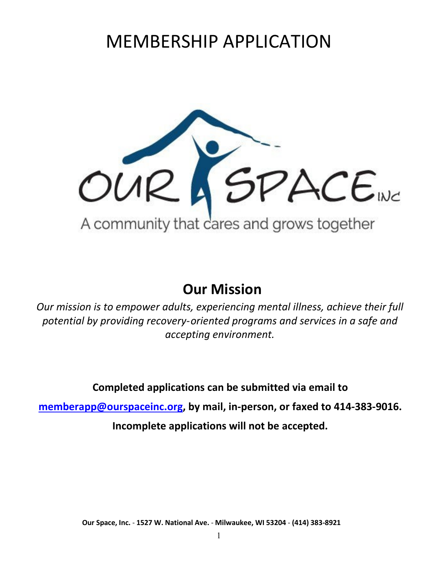# MEMBERSHIP APPLICATION



# **Our Mission**

*Our mission is to empower adults, experiencing mental illness, achieve their full potential by providing recovery‐oriented programs and services in a safe and accepting environment.*

**Completed applications can be submitted via email to** 

**[memberapp@ourspaceinc.org,](mailto:memberapp@ourspaceinc.org) by mail, in-person, or faxed to 414‐383‐9016.**

**Incomplete applications will not be accepted.**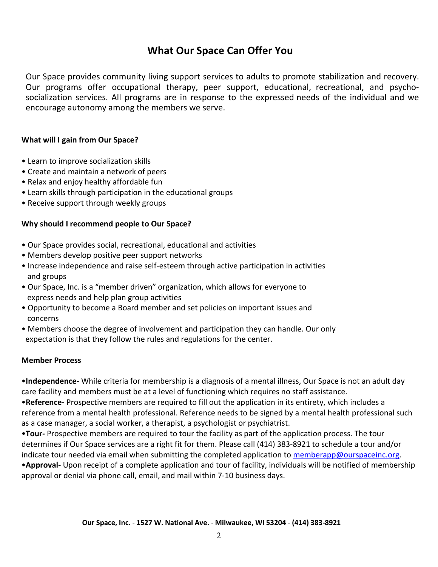### **What Our Space Can Offer You**

Our Space provides community living support services to adults to promote stabilization and recovery. Our programs offer occupational therapy, peer support, educational, recreational, and psycho‐ socialization services. All programs are in response to the expressed needs of the individual and we encourage autonomy among the members we serve.

### **What will I gain from Our Space?**

- Learn to improve socialization skills
- Create and maintain a network of peers
- Relax and enjoy healthy affordable fun
- Learn skills through participation in the educational groups
- Receive support through weekly groups

### **Why should I recommend people to Our Space?**

- Our Space provides social, recreational, educational and activities
- Members develop positive peer support networks
- Increase independence and raise self-esteem through active participation in activities and groups
- Our Space, Inc. is a "member driven" organization, which allows for everyone to express needs and help plan group activities
- Opportunity to become a Board member and set policies on important issues and concerns
- Members choose the degree of involvement and participation they can handle. Our only expectation is that they follow the rules and regulations for the center.

### **Member Process**

•**Independence-** While criteria for membership is a diagnosis of a mental illness, Our Space is not an adult day care facility and members must be at a level of functioning which requires no staff assistance.

•**Reference-** Prospective members are required to fill out the application in its entirety, which includes a reference from a mental health professional. Reference needs to be signed by a mental health professional such as a case manager, a social worker, a therapist, a psychologist or psychiatrist.

•**Tour-** Prospective members are required to tour the facility as part of the application process. The tour determines if Our Space services are a right fit for them. Please call (414) 383-8921 to schedule a tour and/or indicate tour needed via email when submitting the completed application to [memberapp@ourspaceinc.org.](mailto:memberapp@ourspaceinc.org)

•**Approval-** Upon receipt of a complete application and tour of facility, individuals will be notified of membership approval or denial via phone call, email, and mail within 7-10 business days.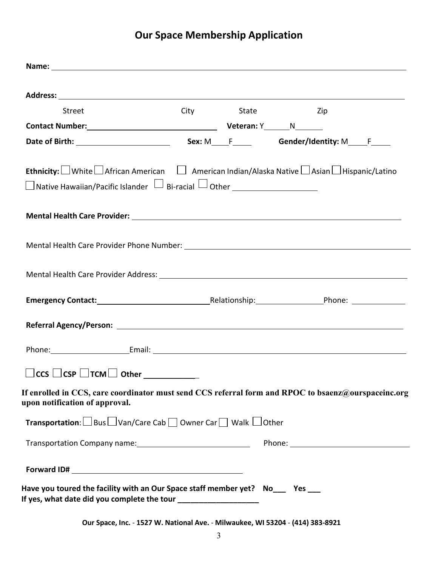# **Our Space Membership Application**

| Street                                                                                                                                | City State | in the state of the state of the state of the state of the state of the state of the state of the state of the |  |
|---------------------------------------------------------------------------------------------------------------------------------------|------------|----------------------------------------------------------------------------------------------------------------|--|
|                                                                                                                                       |            |                                                                                                                |  |
|                                                                                                                                       |            |                                                                                                                |  |
|                                                                                                                                       |            |                                                                                                                |  |
| <b>Ethnicity:</b> White $\Box$ African American $\Box$ American Indian/Alaska Native $\Box$ Asian $\Box$ Hispanic/Latino              |            |                                                                                                                |  |
|                                                                                                                                       |            |                                                                                                                |  |
|                                                                                                                                       |            |                                                                                                                |  |
|                                                                                                                                       |            |                                                                                                                |  |
|                                                                                                                                       |            |                                                                                                                |  |
|                                                                                                                                       |            |                                                                                                                |  |
|                                                                                                                                       |            |                                                                                                                |  |
|                                                                                                                                       |            |                                                                                                                |  |
|                                                                                                                                       |            |                                                                                                                |  |
|                                                                                                                                       |            |                                                                                                                |  |
|                                                                                                                                       |            |                                                                                                                |  |
|                                                                                                                                       |            |                                                                                                                |  |
|                                                                                                                                       |            |                                                                                                                |  |
| $\Box$ CCS $\Box$ CSP $\Box$ TCM $\Box$ Other _____________                                                                           |            |                                                                                                                |  |
| If enrolled in CCS, care coordinator must send CCS referral form and RPOC to bsaenz@ourspaceinc.org<br>upon notification of approval. |            |                                                                                                                |  |
| Transportation: □ Bus □ Van/Care Cab □ Owner Car □ Walk □ Other                                                                       |            |                                                                                                                |  |
|                                                                                                                                       |            |                                                                                                                |  |
|                                                                                                                                       |            |                                                                                                                |  |
|                                                                                                                                       |            |                                                                                                                |  |
|                                                                                                                                       |            |                                                                                                                |  |
| Have you toured the facility with an Our Space staff member yet? No___ Yes ___                                                        |            |                                                                                                                |  |
| If yes, what date did you complete the tour _____________________                                                                     |            |                                                                                                                |  |
|                                                                                                                                       |            |                                                                                                                |  |

**Our Space, Inc.** ‐ **1527 W. National Ave.** ‐ **Milwaukee, WI 53204** ‐ **(414) 383‐8921**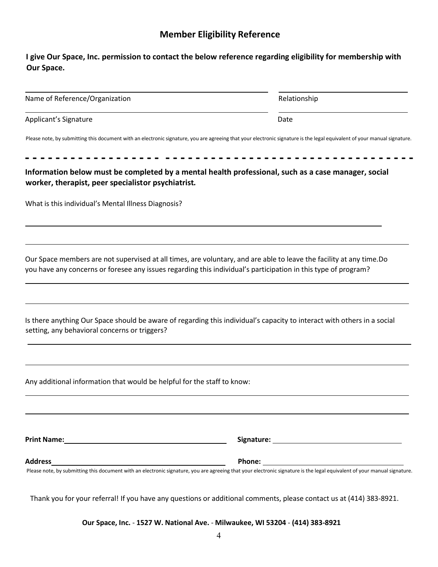### **Member Eligibility Reference**

### **I give Our Space, Inc. permission to contact the below reference regarding eligibility for membership with Our Space.**

| Name of Reference/Organization | Relationship                                                                                                                                                               |
|--------------------------------|----------------------------------------------------------------------------------------------------------------------------------------------------------------------------|
| Applicant's Signature          | Date                                                                                                                                                                       |
|                                | Dlasse note busykmitting this desympaty with an electronic cianatum you are agreeding that your electronic is another is the lead on windows to function monual cianature. |

Please note, by submitting this document with an electronic signature, you are agreeing that your electronic signature is the legal equivalent of your manual signature.

**‐ ‐ ‐ ‐ ‐ ‐ ‐ ‐ ‐ ‐ ‐ ‐ ‐ ‐ ‐ ‐ ‐ ‐ ‐ ‐ ‐ ‐ ‐ ‐ ‐ ‐ ‐ ‐ ‐ ‐ - - - - - ‐ ‐ ‐ ‐ ‐ ‐ ‐ ‐ ‐ ‐ - - - - ‐ ‐ Information below must be completed by a mental health professional, such as a case manager, social worker, therapist, peer specialistor psychiatrist***.* 

What is this individual's Mental Illness Diagnosis?

Our Space members are not supervised at all times, are voluntary, and are able to leave the facility at any time.Do you have any concerns or foresee any issues regarding this individual's participation in this type of program?

| Is there anything Our Space should be aware of regarding this individual's capacity to interact with others in a social |  |
|-------------------------------------------------------------------------------------------------------------------------|--|
| setting, any behavioral concerns or triggers?                                                                           |  |

Any additional information that would be helpful for the staff to know:

| <b>Print Name:</b> | Signature:                                                                                                                                                               |  |
|--------------------|--------------------------------------------------------------------------------------------------------------------------------------------------------------------------|--|
| <b>Address</b>     | Phone:                                                                                                                                                                   |  |
|                    | Please note, by submitting this document with an electronic signature, you are agreeing that your electronic signature is the legal equivalent of your manual signature. |  |

Thank you for your referral! If you have any questions or additional comments, please contact us at (414) 383‐8921.

**Our Space, Inc.** ‐ **1527 W. National Ave.** ‐ **Milwaukee, WI 53204** ‐ **(414) 383‐8921**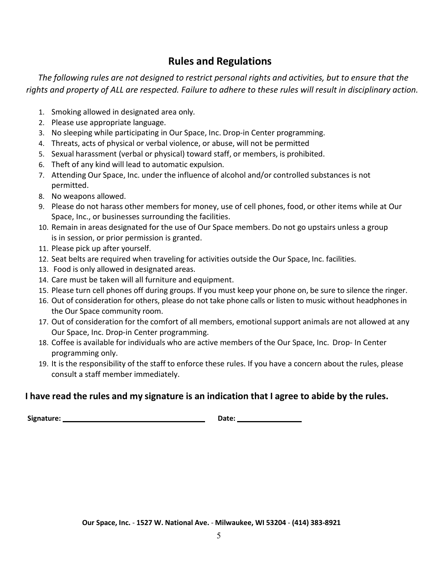### **Rules and Regulations**

*The following rules are not designed to restrict personal rights and activities, but to ensure that the rights and property of ALL are respected. Failure to adhere to these rules will result in disciplinary action.*

- 1. Smoking allowed in designated area only.
- 2. Please use appropriate language.
- 3. No sleeping while participating in Our Space, Inc. Drop-in Center programming.
- 4. Threats, acts of physical or verbal violence, or abuse, will not be permitted
- 5. Sexual harassment (verbal or physical) toward staff, or members, is prohibited.
- 6. Theft of any kind will lead to automatic expulsion.
- 7. Attending Our Space, Inc. under the influence of alcohol and/or controlled substances is not permitted.
- 8. No weapons allowed.
- 9. Please do not harass other members for money, use of cell phones, food, or other items while at Our Space, Inc., or businesses surrounding the facilities.
- 10. Remain in areas designated for the use of Our Space members. Do not go upstairs unless a group is in session, or prior permission is granted.
- 11. Please pick up after yourself.
- 12. Seat belts are required when traveling for activities outside the Our Space, Inc. facilities.
- 13. Food is only allowed in designated areas.
- 14. Care must be taken will all furniture and equipment.
- 15. Please turn cell phones off during groups. If you must keep your phone on, be sure to silence the ringer.
- 16. Out of consideration for others, please do not take phone calls or listen to music without headphones in the Our Space community room.
- 17. Out of consideration for the comfort of all members, emotional support animals are not allowed at any Our Space, Inc. Drop-in Center programming.
- 18. Coffee is available for individuals who are active members of the Our Space, Inc. Drop- In Center programming only.
- 19. It is the responsibility of the staff to enforce these rules. If you have a concern about the rules, please consult a staff member immediately.

### **I have read the rules and my signature is an indication that I agree to abide by the rules.**

**Signature: Date:**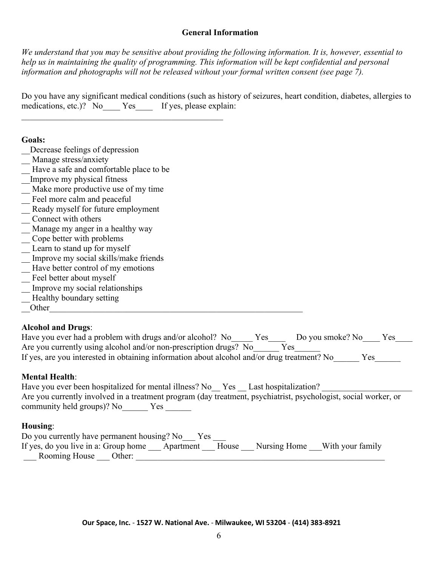### **General Information**

*We understand that you may be sensitive about providing the following information. It is, however, essential to help us in maintaining the quality of programming. This information will be kept confidential and personal information and photographs will not be released without your formal written consent (see page 7).* 

Do you have any significant medical conditions (such as history of seizures, heart condition, diabetes, allergies to medications, etc.)? No Yes If yes, please explain:

### **Goals:**

- \_\_Decrease feelings of depression
- \_ Manage stress/anxiety
- Have a safe and comfortable place to be
- \_\_Improve my physical fitness
- Make more productive use of my time
- \_\_ Feel more calm and peaceful
- Ready myself for future employment
- \_\_ Connect with others
- \_\_ Manage my anger in a healthy way
- \_\_ Cope better with problems
- \_ Learn to stand up for myself
- \_\_ Improve my social skills/make friends
- Have better control of my emotions
- Feel better about myself
- \_\_ Improve my social relationships
- Healthy boundary setting
- \_\_Other\_\_\_\_\_\_\_\_\_\_\_\_\_\_\_\_\_\_\_\_\_\_\_\_\_\_\_\_\_\_\_\_\_\_\_\_\_\_\_\_\_\_\_\_\_\_\_\_\_\_\_\_\_\_\_\_\_\_\_

### **Alcohol and Drugs**:

| Have you ever had a problem with drugs and/or alcohol? No                                   | Yes | Do you smoke? No | Yes |
|---------------------------------------------------------------------------------------------|-----|------------------|-----|
| Are you currently using alcohol and/or non-prescription drugs? No                           |     | Yes              |     |
| If yes, are you interested in obtaining information about alcohol and/or drug treatment? No |     |                  | Yes |

### **Mental Health**:

| Have you ever been hospitalized for mental illness? No Yes Last hospitalization?                                |
|-----------------------------------------------------------------------------------------------------------------|
| Are you currently involved in a treatment program (day treatment, psychiatrist, psychologist, social worker, or |
| community held groups)? No<br>Yes                                                                               |

### **Housing**:

| Do you currently have permanent housing? No Yes |                 |  |                               |
|-------------------------------------------------|-----------------|--|-------------------------------|
| If yes, do you live in a: Group home            | Apartment House |  | Nursing Home With your family |
| Rooming House Other:                            |                 |  |                               |